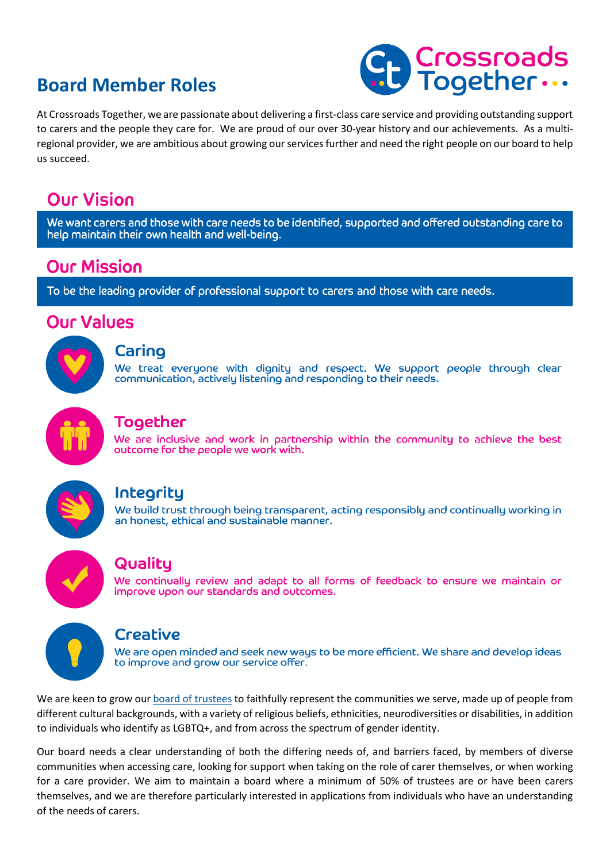# **Board Member Roles**



At Crossroads Together, we are passionate about delivering a first-class care service and providing outstanding support to carers and the people they care for. We are proud of our over 30-year history and our achievements. As a multiregional provider, we are ambitious about growing our services further and need the right people on our board to help us succeed.

# **Our Vision**

We want carers and those with care needs to be identified, supported and offered outstanding care to help maintain their own health and well-being.

## **Our Mission**

To be the leading provider of professional support to carers and those with care needs.

## **Our Values**



#### Caring

We treat everyone with dignity and respect. We support people through clear communication, actively listening and responding to their needs.



## **Together**

We are inclusive and work in partnership within the community to achieve the best outcome for the people we work with.



## Integrity

We build trust through being transparent, acting responsibly and continually working in an honest, ethical and sustainable manner.



## Quality

We continually review and adapt to all forms of feedback to ensure we maintain or improve upon our standards and outcomes.



### **Creative**

We are open minded and seek new ways to be more efficient. We share and develop ideas to improve and grow our service offer.

We are keen to grow our board of trustees to faithfully represent the communities we serve, made up of people from different cultural backgrounds, with a variety of religious beliefs, ethnicities, neurodiversities or disabilities, in addition to individuals who identify as LGBTQ+, and from across the spectrum of gender identity.

Our board needs a clear understanding of both the differing needs of, and barriers faced, by members of diverse communities when accessing care, looking for support when taking on the role of carer themselves, or when working for a care provider. We aim to maintain a board where a minimum of 50% of trustees are or have been carers themselves, and we are therefore particularly interested in applications from individuals who have an understanding of the needs of carers.